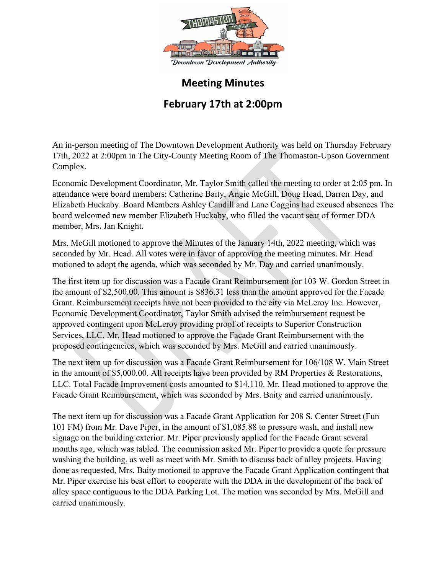

## **Meeting Minutes**

## **February 17th at 2:00pm**

An in-person meeting of The Downtown Development Authority was held on Thursday February 17th, 2022 at 2:00pm in The City-County Meeting Room of The Thomaston-Upson Government Complex.

Economic Development Coordinator, Mr. Taylor Smith called the meeting to order at 2:05 pm. In attendance were board members: Catherine Baity, Angie McGill, Doug Head, Darren Day, and Elizabeth Huckaby. Board Members Ashley Caudill and Lane Coggins had excused absences The board welcomed new member Elizabeth Huckaby, who filled the vacant seat of former DDA member, Mrs. Jan Knight.

Mrs. McGill motioned to approve the Minutes of the January 14th, 2022 meeting, which was seconded by Mr. Head. All votes were in favor of approving the meeting minutes. Mr. Head motioned to adopt the agenda, which was seconded by Mr. Day and carried unanimously.

The first item up for discussion was a Facade Grant Reimbursement for 103 W. Gordon Street in the amount of \$2,500.00. This amount is \$836.31 less than the amount approved for the Facade Grant. Reimbursement receipts have not been provided to the city via McLeroy Inc. However, Economic Development Coordinator, Taylor Smith advised the reimbursement request be approved contingent upon McLeroy providing proof of receipts to Superior Construction Services, LLC. Mr. Head motioned to approve the Facade Grant Reimbursement with the proposed contingencies, which was seconded by Mrs. McGill and carried unanimously.

The next item up for discussion was a Facade Grant Reimbursement for 106/108 W. Main Street in the amount of \$5,000.00. All receipts have been provided by RM Properties & Restorations, LLC. Total Facade Improvement costs amounted to \$14,110. Mr. Head motioned to approve the Facade Grant Reimbursement, which was seconded by Mrs. Baity and carried unanimously.

The next item up for discussion was a Facade Grant Application for 208 S. Center Street (Fun 101 FM) from Mr. Dave Piper, in the amount of \$1,085.88 to pressure wash, and install new signage on the building exterior. Mr. Piper previously applied for the Facade Grant several months ago, which was tabled. The commission asked Mr. Piper to provide a quote for pressure washing the building, as well as meet with Mr. Smith to discuss back of alley projects. Having done as requested, Mrs. Baity motioned to approve the Facade Grant Application contingent that Mr. Piper exercise his best effort to cooperate with the DDA in the development of the back of alley space contiguous to the DDA Parking Lot. The motion was seconded by Mrs. McGill and carried unanimously.